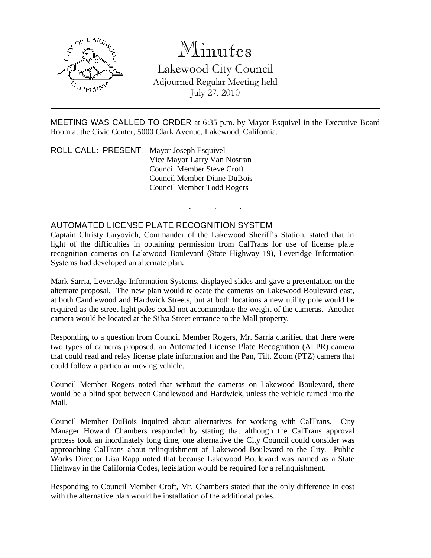

# Minutes

Lakewood City Council Adjourned Regular Meeting held July 27, 2010

MEETING WAS CALLED TO ORDER at 6:35 p.m. by Mayor Esquivel in the Executive Board Room at the Civic Center, 5000 Clark Avenue, Lakewood, California.

. . .

ROLL CALL: PRESENT: Mayor Joseph Esquivel Vice Mayor Larry Van Nostran Council Member Steve Croft Council Member Diane DuBois Council Member Todd Rogers

### AUTOMATED LICENSE PLATE RECOGNITION SYSTEM

Captain Christy Guyovich, Commander of the Lakewood Sheriff's Station, stated that in light of the difficulties in obtaining permission from CalTrans for use of license plate recognition cameras on Lakewood Boulevard (State Highway 19), Leveridge Information Systems had developed an alternate plan.

Mark Sarria, Leveridge Information Systems, displayed slides and gave a presentation on the alternate proposal. The new plan would relocate the cameras on Lakewood Boulevard east, at both Candlewood and Hardwick Streets, but at both locations a new utility pole would be required as the street light poles could not accommodate the weight of the cameras. Another camera would be located at the Silva Street entrance to the Mall property.

Responding to a question from Council Member Rogers, Mr. Sarria clarified that there were two types of cameras proposed, an Automated License Plate Recognition (ALPR) camera that could read and relay license plate information and the Pan, Tilt, Zoom (PTZ) camera that could follow a particular moving vehicle.

Council Member Rogers noted that without the cameras on Lakewood Boulevard, there would be a blind spot between Candlewood and Hardwick, unless the vehicle turned into the Mall.

Council Member DuBois inquired about alternatives for working with CalTrans. City Manager Howard Chambers responded by stating that although the CalTrans approval process took an inordinately long time, one alternative the City Council could consider was approaching CalTrans about relinquishment of Lakewood Boulevard to the City. Public Works Director Lisa Rapp noted that because Lakewood Boulevard was named as a State Highway in the California Codes, legislation would be required for a relinquishment.

Responding to Council Member Croft, Mr. Chambers stated that the only difference in cost with the alternative plan would be installation of the additional poles.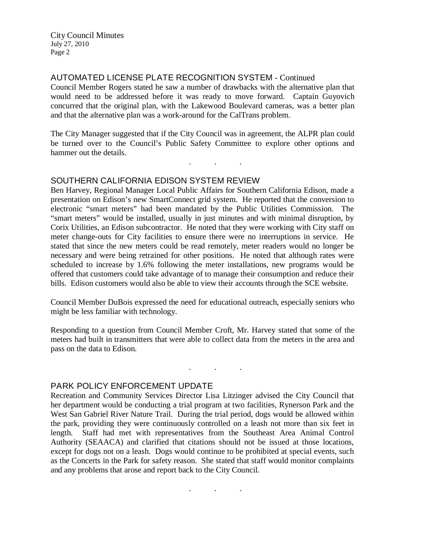City Council Minutes July 27, 2010 Page 2

AUTOMATED LICENSE PLATE RECOGNITION SYSTEM - Continued

Council Member Rogers stated he saw a number of drawbacks with the alternative plan that would need to be addressed before it was ready to move forward. Captain Guyovich concurred that the original plan, with the Lakewood Boulevard cameras, was a better plan and that the alternative plan was a work-around for the CalTrans problem.

The City Manager suggested that if the City Council was in agreement, the ALPR plan could be turned over to the Council's Public Safety Committee to explore other options and hammer out the details.

. . .

## SOUTHERN CALIFORNIA EDISON SYSTEM REVIEW

Ben Harvey, Regional Manager Local Public Affairs for Southern California Edison, made a presentation on Edison's new SmartConnect grid system. He reported that the conversion to electronic "smart meters" had been mandated by the Public Utilities Commission. The "smart meters" would be installed, usually in just minutes and with minimal disruption, by Corix Utilities, an Edison subcontractor. He noted that they were working with City staff on meter change-outs for City facilities to ensure there were no interruptions in service. He stated that since the new meters could be read remotely, meter readers would no longer be necessary and were being retrained for other positions. He noted that although rates were scheduled to increase by 1.6% following the meter installations, new programs would be offered that customers could take advantage of to manage their consumption and reduce their bills. Edison customers would also be able to view their accounts through the SCE website.

Council Member DuBois expressed the need for educational outreach, especially seniors who might be less familiar with technology.

Responding to a question from Council Member Croft, Mr. Harvey stated that some of the meters had built in transmitters that were able to collect data from the meters in the area and pass on the data to Edison.

. . .

### PARK POLICY ENFORCEMENT UPDATE

Recreation and Community Services Director Lisa Litzinger advised the City Council that her department would be conducting a trial program at two facilities, Rynerson Park and the West San Gabriel River Nature Trail. During the trial period, dogs would be allowed within the park, providing they were continuously controlled on a leash not more than six feet in length. Staff had met with representatives from the Southeast Area Animal Control Authority (SEAACA) and clarified that citations should not be issued at those locations, except for dogs not on a leash. Dogs would continue to be prohibited at special events, such as the Concerts in the Park for safety reason. She stated that staff would monitor complaints and any problems that arose and report back to the City Council.

. . .